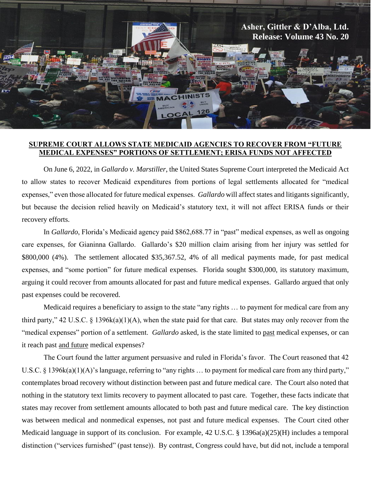

## **SUPREME COURT ALLOWS STATE MEDICAID AGENCIES TO RECOVER FROM "FUTURE MEDICAL EXPENSES" PORTIONS OF SETTLEMENT; ERISA FUNDS NOT AFFECTED**

On June 6, 2022, in *Gallardo v. Marstiller*, the United States Supreme Court interpreted the Medicaid Act to allow states to recover Medicaid expenditures from portions of legal settlements allocated for "medical expenses," even those allocated for future medical expenses. *Gallardo* will affect states and litigants significantly, but because the decision relied heavily on Medicaid's statutory text, it will not affect ERISA funds or their recovery efforts.

In *Gallardo*, Florida's Medicaid agency paid \$862,688.77 in "past" medical expenses, as well as ongoing care expenses, for Gianinna Gallardo. Gallardo's \$20 million claim arising from her injury was settled for \$800,000 (4%). The settlement allocated \$35,367.52, 4% of all medical payments made, for past medical expenses, and "some portion" for future medical expenses. Florida sought \$300,000, its statutory maximum, arguing it could recover from amounts allocated for past and future medical expenses. Gallardo argued that only past expenses could be recovered.

Medicaid requires a beneficiary to assign to the state "any rights … to payment for medical care from any third party," 42 U.S.C. § 1396k(a)(1)(A), when the state paid for that care. But states may only recover from the "medical expenses" portion of a settlement. *Gallardo* asked, is the state limited to past medical expenses, or can it reach past and future medical expenses?

The Court found the latter argument persuasive and ruled in Florida's favor. The Court reasoned that 42 U.S.C. § 1396k(a)(1)(A)'s language, referring to "any rights ... to payment for medical care from any third party," contemplates broad recovery without distinction between past and future medical care. The Court also noted that nothing in the statutory text limits recovery to payment allocated to past care. Together, these facts indicate that states may recover from settlement amounts allocated to both past and future medical care. The key distinction was between medical and nonmedical expenses, not past and future medical expenses. The Court cited other Medicaid language in support of its conclusion. For example, 42 U.S.C. § 1396a(a)(25)(H) includes a temporal distinction ("services furnished" (past tense)). By contrast, Congress could have, but did not, include a temporal